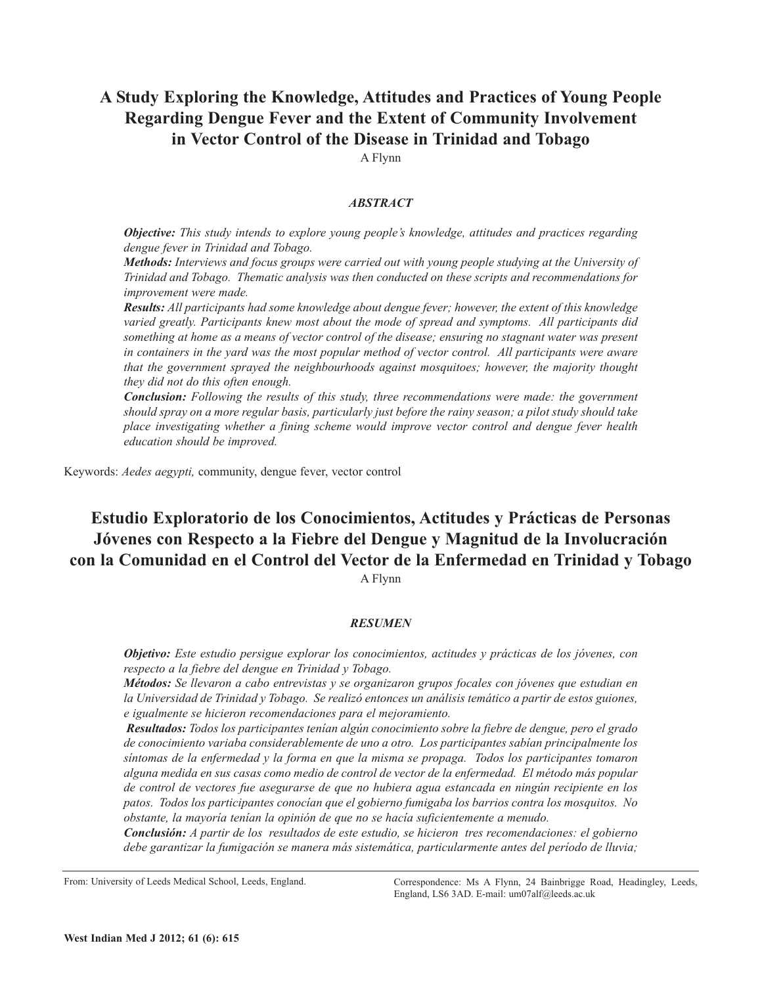# **A Study Exploring the Knowledge, Attitudes and Practices of Young People Regarding Dengue Fever and the Extent of Community Involvement in Vector Control of the Disease in Trinidad and Tobago**

A Flynn

# *ABSTRACT*

*Objective: This study intends to explore young people's knowledge, attitudes and practices regarding dengue fever in Trinidad and Tobago.*

*Methods: Interviews and focus groups were carried out with young people studying at the University of Trinidad and Tobago. Thematic analysis was then conducted on these scripts and recommendations for improvement were made.*

*Results: All participants had some knowledge about dengue fever; however, the extent of this knowledge varied greatly. Participants knew most about the mode of spread and symptoms. All participants did* something at home as a means of vector control of the disease; ensuring no stagnant water was present *in containers in the yard was the most popular method of vector control. All participants were aware that the government sprayed the neighbourhoods against mosquitoes; however, the majority thought they did not do this often enough.*

*Conclusion: Following the results of this study, three recommendations were made: the government* should spray on a more regular basis, particularly just before the rainy season; a pilot study should take *place investigating whether a fining scheme would improve vector control and dengue fever health education should be improved.*

Keywords: *Aedes aegypti,* community, dengue fever, vector control

# **Estudio Exploratorio de los Conocimientos, Actitudes y Prácticas de Personas Jóvenes con Respecto a la Fiebre del Dengue y Magnitud de la Involucración con la Comunidad en el Control del Vector de la Enfermedad en Trinidad y Tobago**

A Flynn

### *RESUMEN*

*Objetivo: Este estudio persigue explorar los conocimientos, actitudes y prácticas de los jóvenes, con respecto a la fiebre del dengue en Trinidad y Tobago.*

*Métodos: Se llevaron a cabo entrevistas y se organizaron grupos focales con jóvenes que estudian en la Universidad de Trinidad y Tobago. Se realizó entonces un análisis temático a partir de estos guiones, e igualmente se hicieron recomendaciones para el mejoramiento.*

*Resultados: Todos los participantes tenían algún conocimiento sobre la fiebre de dengue, pero el grado de conocimiento variaba considerablemente de uno a otro. Los participantes sabían principalmente los síntomas de la enfermedad y la forma en que la misma se propaga. Todos los participantes tomaron alguna medida en sus casas como medio de control de vector de la enfermedad. El método más popular de control de vectores fue asegurarse de que no hubiera agua estancada en ningún recipiente en los patos. Todos los participantes conocían que el gobierno fumigaba los barrios contra los mosquitos. No obstante, la mayoría tenían la opinión de que no se hacía suficientemente a menudo.*

*Conclusión: A partir de los resultados de este estudio, se hicieron tres recomendaciones: el gobierno debe garantizar la fumigación se manera más sistemática, particularmente antes del período de lluvia;*

From: University of Leeds Medical School, Leeds, England.

Correspondence: Ms A Flynn, 24 Bainbrigge Road, Headingley, Leeds, England, LS6 3AD. E-mail: um07alf@leeds.ac.uk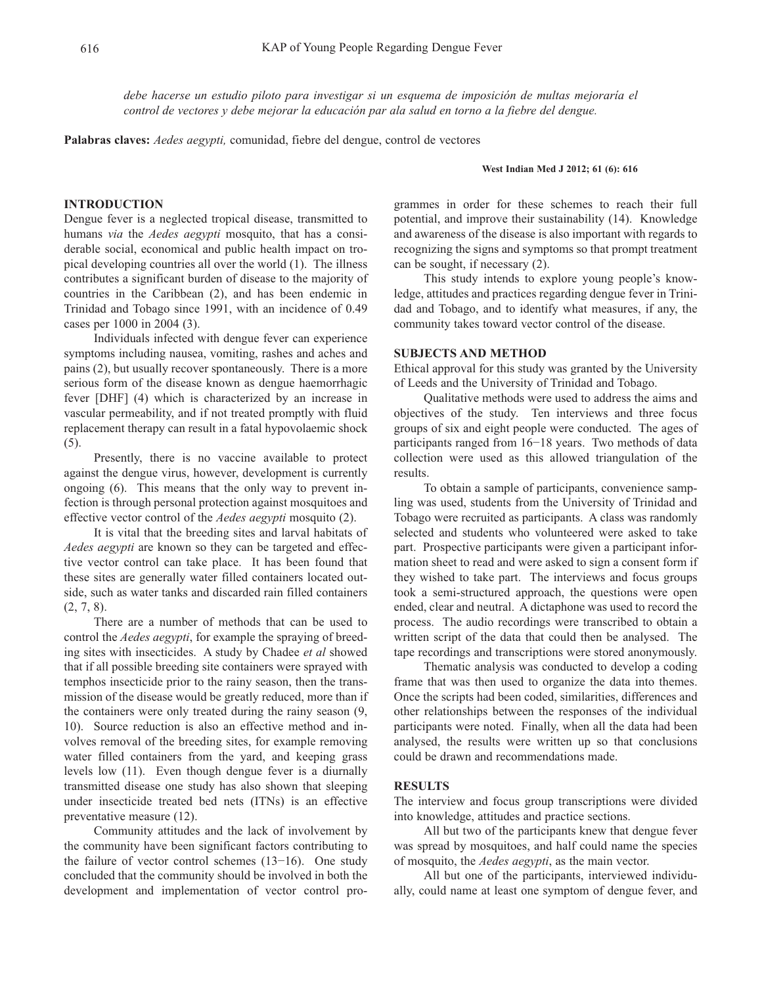*debe hacerse un estudio piloto para investigar si un esquema de imposición de multas mejoraría el control de vectores y debe mejorar la educación par ala salud en torno a la fiebre del dengue.*

**Palabras claves:** *Aedes aegypti,* comunidad, fiebre del dengue, control de vectores

#### **West Indian Med J 2012; 61 (6): 616**

## **INTRODUCTION**

Dengue fever is a neglected tropical disease, transmitted to humans *via* the *Aedes aegypti* mosquito, that has a considerable social, economical and public health impact on tropical developing countries all over the world (1). The illness contributes a significant burden of disease to the majority of countries in the Caribbean (2), and has been endemic in Trinidad and Tobago since 1991, with an incidence of 0.49 cases per 1000 in 2004 (3).

Individuals infected with dengue fever can experience symptoms including nausea, vomiting, rashes and aches and pains (2), but usually recover spontaneously. There is a more serious form of the disease known as dengue haemorrhagic fever [DHF] (4) which is characterized by an increase in vascular permeability, and if not treated promptly with fluid replacement therapy can result in a fatal hypovolaemic shock (5).

Presently, there is no vaccine available to protect against the dengue virus, however, development is currently ongoing (6). This means that the only way to prevent infection is through personal protection against mosquitoes and effective vector control of the *Aedes aegypti* mosquito (2).

It is vital that the breeding sites and larval habitats of *Aedes aegypti* are known so they can be targeted and effective vector control can take place. It has been found that these sites are generally water filled containers located outside, such as water tanks and discarded rain filled containers (2, 7, 8).

There are a number of methods that can be used to control the *Aedes aegypti*, for example the spraying of breeding sites with insecticides. A study by Chadee *et al* showed that if all possible breeding site containers were sprayed with temphos insecticide prior to the rainy season, then the transmission of the disease would be greatly reduced, more than if the containers were only treated during the rainy season (9, 10). Source reduction is also an effective method and involves removal of the breeding sites, for example removing water filled containers from the yard, and keeping grass levels low (11). Even though dengue fever is a diurnally transmitted disease one study has also shown that sleeping under insecticide treated bed nets (ITNs) is an effective preventative measure (12).

Community attitudes and the lack of involvement by the community have been significant factors contributing to the failure of vector control schemes (13−16). One study concluded that the community should be involved in both the development and implementation of vector control programmes in order for these schemes to reach their full potential, and improve their sustainability (14). Knowledge and awareness of the disease is also important with regards to recognizing the signs and symptoms so that prompt treatment can be sought, if necessary (2).

This study intends to explore young people's knowledge, attitudes and practices regarding dengue fever in Trinidad and Tobago, and to identify what measures, if any, the community takes toward vector control of the disease.

# **SUBJECTS AND METHOD**

Ethical approval for this study was granted by the University of Leeds and the University of Trinidad and Tobago.

Qualitative methods were used to address the aims and objectives of the study. Ten interviews and three focus groups of six and eight people were conducted. The ages of participants ranged from 16−18 years. Two methods of data collection were used as this allowed triangulation of the results.

To obtain a sample of participants, convenience sampling was used, students from the University of Trinidad and Tobago were recruited as participants. A class was randomly selected and students who volunteered were asked to take part. Prospective participants were given a participant information sheet to read and were asked to sign a consent form if they wished to take part. The interviews and focus groups took a semi-structured approach, the questions were open ended, clear and neutral. A dictaphone was used to record the process. The audio recordings were transcribed to obtain a written script of the data that could then be analysed. The tape recordings and transcriptions were stored anonymously.

Thematic analysis was conducted to develop a coding frame that was then used to organize the data into themes. Once the scripts had been coded, similarities, differences and other relationships between the responses of the individual participants were noted. Finally, when all the data had been analysed, the results were written up so that conclusions could be drawn and recommendations made.

# **RESULTS**

The interview and focus group transcriptions were divided into knowledge, attitudes and practice sections.

All but two of the participants knew that dengue fever was spread by mosquitoes, and half could name the species of mosquito, the *Aedes aegypti*, as the main vector.

All but one of the participants, interviewed individually, could name at least one symptom of dengue fever, and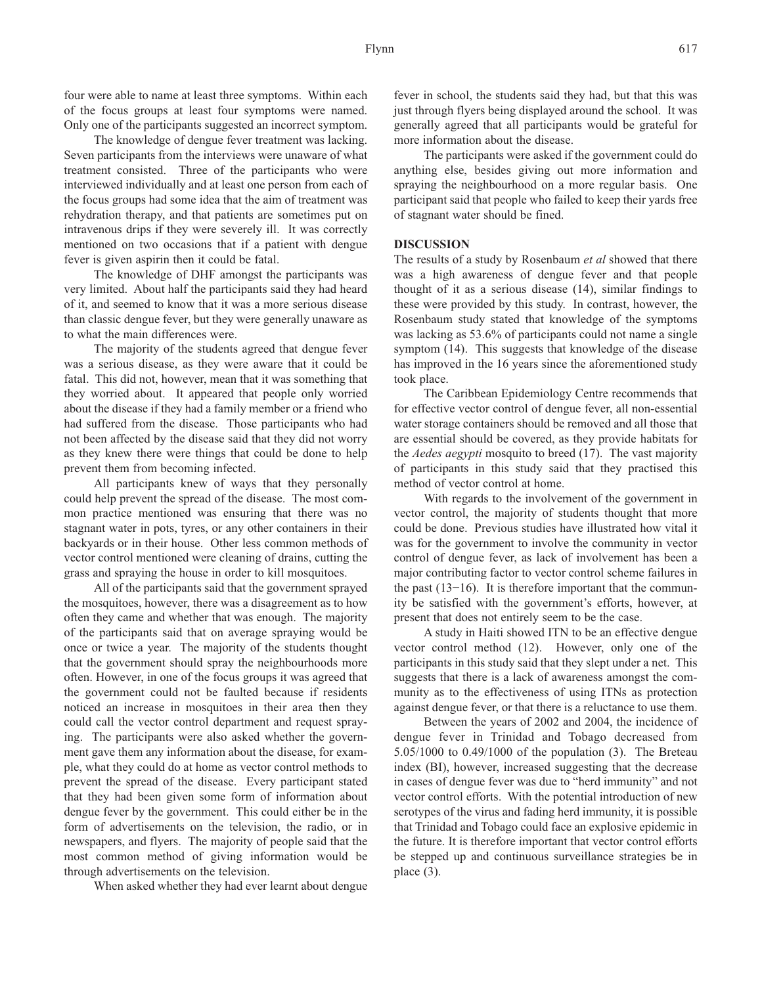four were able to name at least three symptoms. Within each of the focus groups at least four symptoms were named. Only one of the participants suggested an incorrect symptom.

The knowledge of dengue fever treatment was lacking. Seven participants from the interviews were unaware of what treatment consisted. Three of the participants who were interviewed individually and at least one person from each of the focus groups had some idea that the aim of treatment was rehydration therapy, and that patients are sometimes put on intravenous drips if they were severely ill. It was correctly mentioned on two occasions that if a patient with dengue fever is given aspirin then it could be fatal.

The knowledge of DHF amongst the participants was very limited. About half the participants said they had heard of it, and seemed to know that it was a more serious disease than classic dengue fever, but they were generally unaware as to what the main differences were.

The majority of the students agreed that dengue fever was a serious disease, as they were aware that it could be fatal. This did not, however, mean that it was something that they worried about. It appeared that people only worried about the disease if they had a family member or a friend who had suffered from the disease. Those participants who had not been affected by the disease said that they did not worry as they knew there were things that could be done to help prevent them from becoming infected.

All participants knew of ways that they personally could help prevent the spread of the disease. The most common practice mentioned was ensuring that there was no stagnant water in pots, tyres, or any other containers in their backyards or in their house. Other less common methods of vector control mentioned were cleaning of drains, cutting the grass and spraying the house in order to kill mosquitoes.

All of the participants said that the government sprayed the mosquitoes, however, there was a disagreement as to how often they came and whether that was enough. The majority of the participants said that on average spraying would be once or twice a year. The majority of the students thought that the government should spray the neighbourhoods more often. However, in one of the focus groups it was agreed that the government could not be faulted because if residents noticed an increase in mosquitoes in their area then they could call the vector control department and request spraying. The participants were also asked whether the government gave them any information about the disease, for example, what they could do at home as vector control methods to prevent the spread of the disease. Every participant stated that they had been given some form of information about dengue fever by the government. This could either be in the form of advertisements on the television, the radio, or in newspapers, and flyers. The majority of people said that the most common method of giving information would be through advertisements on the television.

When asked whether they had ever learnt about dengue

fever in school, the students said they had, but that this was just through flyers being displayed around the school. It was generally agreed that all participants would be grateful for more information about the disease.

The participants were asked if the government could do anything else, besides giving out more information and spraying the neighbourhood on a more regular basis. One participant said that people who failed to keep their yards free of stagnant water should be fined.

#### **DISCUSSION**

The results of a study by Rosenbaum *et al* showed that there was a high awareness of dengue fever and that people thought of it as a serious disease (14), similar findings to these were provided by this study. In contrast, however, the Rosenbaum study stated that knowledge of the symptoms was lacking as 53.6% of participants could not name a single symptom (14). This suggests that knowledge of the disease has improved in the 16 years since the aforementioned study took place.

The Caribbean Epidemiology Centre recommends that for effective vector control of dengue fever, all non-essential water storage containers should be removed and all those that are essential should be covered, as they provide habitats for the *Aedes aegypti* mosquito to breed (17). The vast majority of participants in this study said that they practised this method of vector control at home.

With regards to the involvement of the government in vector control, the majority of students thought that more could be done. Previous studies have illustrated how vital it was for the government to involve the community in vector control of dengue fever, as lack of involvement has been a major contributing factor to vector control scheme failures in the past (13−16). It is therefore important that the community be satisfied with the government's efforts, however, at present that does not entirely seem to be the case.

A study in Haiti showed ITN to be an effective dengue vector control method (12). However, only one of the participants in this study said that they slept under a net. This suggests that there is a lack of awareness amongst the community as to the effectiveness of using ITNs as protection against dengue fever, or that there is a reluctance to use them.

Between the years of 2002 and 2004, the incidence of dengue fever in Trinidad and Tobago decreased from 5.05/1000 to 0.49/1000 of the population (3). The Breteau index (BI), however, increased suggesting that the decrease in cases of dengue fever was due to "herd immunity" and not vector control efforts. With the potential introduction of new serotypes of the virus and fading herd immunity, it is possible that Trinidad and Tobago could face an explosive epidemic in the future. It is therefore important that vector control efforts be stepped up and continuous surveillance strategies be in place (3).